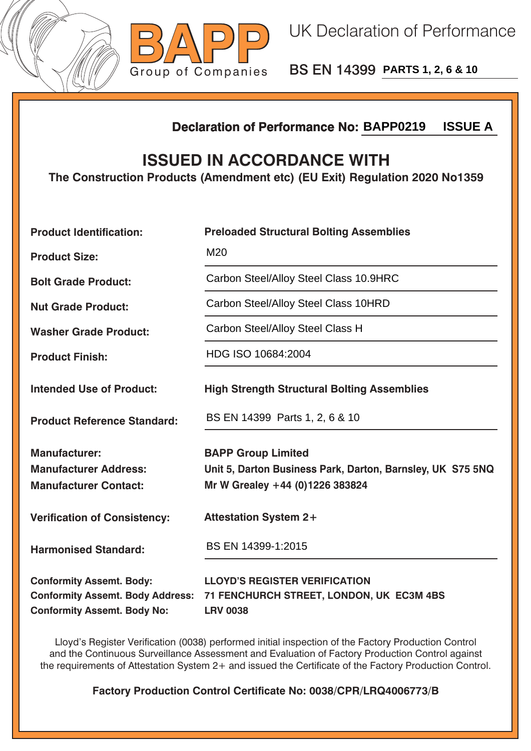



BS EN 14399 **PARTS 1, 2, 6 & 10**

## **Declaration of Performance No:**

## **ISSUED IN ACCORDANCE WITH**

| <b>ISSUE A</b><br><b>Declaration of Performance No: BAPP0219</b>                                                 |                                                                                                                            |  |  |
|------------------------------------------------------------------------------------------------------------------|----------------------------------------------------------------------------------------------------------------------------|--|--|
| <b>ISSUED IN ACCORDANCE WITH</b><br>The Construction Products (Amendment etc) (EU Exit) Regulation 2020 No1359   |                                                                                                                            |  |  |
| <b>Product Identification:</b>                                                                                   | <b>Preloaded Structural Bolting Assemblies</b>                                                                             |  |  |
| <b>Product Size:</b>                                                                                             | M20                                                                                                                        |  |  |
| <b>Bolt Grade Product:</b>                                                                                       | Carbon Steel/Alloy Steel Class 10.9HRC                                                                                     |  |  |
| <b>Nut Grade Product:</b>                                                                                        | Carbon Steel/Alloy Steel Class 10HRD                                                                                       |  |  |
| <b>Washer Grade Product:</b>                                                                                     | Carbon Steel/Alloy Steel Class H                                                                                           |  |  |
| <b>Product Finish:</b>                                                                                           | HDG ISO 10684:2004                                                                                                         |  |  |
| <b>Intended Use of Product:</b>                                                                                  | <b>High Strength Structural Bolting Assemblies</b>                                                                         |  |  |
| <b>Product Reference Standard:</b>                                                                               | BS EN 14399 Parts 1, 2, 6 & 10                                                                                             |  |  |
| <b>Manufacturer:</b><br><b>Manufacturer Address:</b><br><b>Manufacturer Contact:</b>                             | <b>BAPP Group Limited</b><br>Unit 5, Darton Business Park, Darton, Barnsley, UK S75 5NQ<br>Mr W Grealey +44 (0)1226 383824 |  |  |
| <b>Verification of Consistency:</b>                                                                              | <b>Attestation System 2+</b>                                                                                               |  |  |
| <b>Harmonised Standard:</b>                                                                                      | BS EN 14399-1:2015                                                                                                         |  |  |
| <b>Conformity Assemt. Body:</b><br><b>Conformity Assemt. Body Address:</b><br><b>Conformity Assemt. Body No:</b> | <b>LLOYD'S REGISTER VERIFICATION</b><br>71 FENCHURCH STREET, LONDON, UK EC3M 4BS<br><b>LRV 0038</b>                        |  |  |

Lloyd's Register Verification (0038) performed initial inspection of the Factory Production Control and the Continuous Surveillance Assessment and Evaluation of Factory Production Control against the requirements of Attestation System 2+ and issued the Certificate of the Factory Production Control.

**Factory Production Control Certificate No: 0038/CPR/LRQ4006773/B**